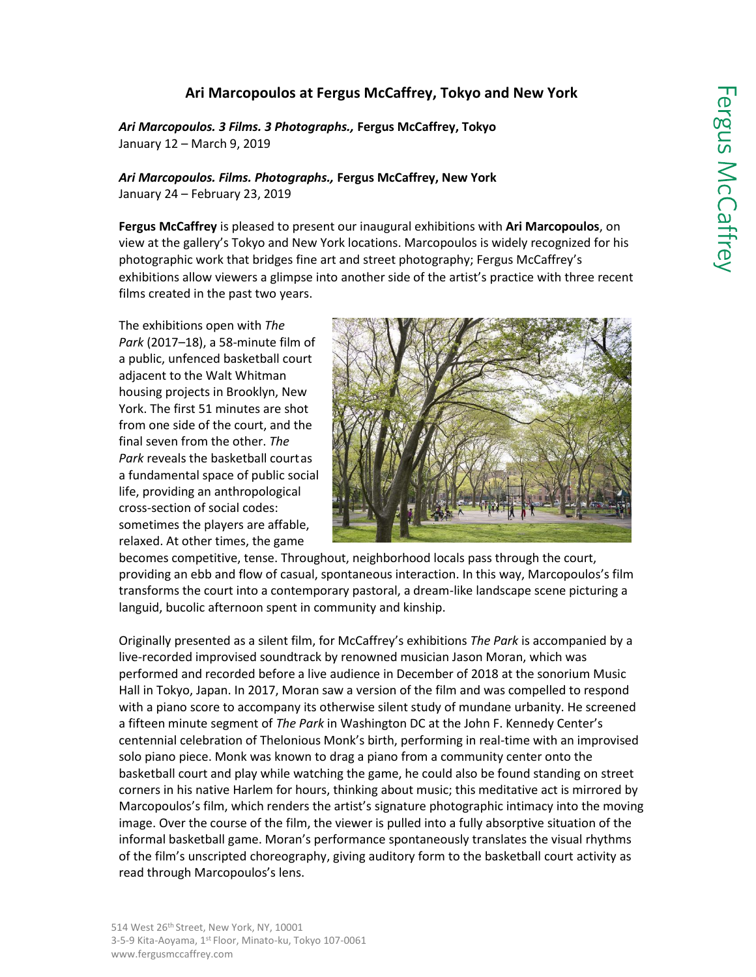## **Ari Marcopoulos at Fergus McCaffrey, Tokyo and New York**

*Ari Marcopoulos. 3 Films. 3 Photographs.,* **Fergus McCaffrey, Tokyo** January 12 – March 9, 2019

*Ari Marcopoulos. Films. Photographs.,* **Fergus McCaffrey, New York** January 24 – February 23, 2019

**Fergus McCaffrey** is pleased to present our inaugural exhibitions with **Ari Marcopoulos**, on view at the gallery's Tokyo and New York locations. Marcopoulos is widely recognized for his photographic work that bridges fine art and street photography; Fergus McCaffrey's exhibitions allow viewers a glimpse into another side of the artist's practice with three recent films created in the past two years.

The exhibitions open with *The Park* (2017–18), a 58-minute film of a public, unfenced basketball court adjacent to the Walt Whitman housing projects in Brooklyn, New York. The first 51 minutes are shot from one side of the court, and the final seven from the other. *The Park* reveals the basketball courtas a fundamental space of public social life, providing an anthropological cross-section of social codes: sometimes the players are affable, relaxed. At other times, the game



becomes competitive, tense. Throughout, neighborhood locals pass through the court, providing an ebb and flow of casual, spontaneous interaction. In this way, Marcopoulos's film transforms the court into a contemporary pastoral, a dream-like landscape scene picturing a languid, bucolic afternoon spent in community and kinship.

Originally presented as a silent film, for McCaffrey's exhibitions *The Park* is accompanied by a live-recorded improvised soundtrack by renowned musician Jason Moran, which was performed and recorded before a live audience in December of 2018 at the sonorium Music Hall in Tokyo, Japan. In 2017, Moran saw a version of the film and was compelled to respond with a piano score to accompany its otherwise silent study of mundane urbanity. He screened a fifteen minute segment of *The Park* in Washington DC at the John F. Kennedy Center's centennial celebration of Thelonious Monk's birth, performing in real-time with an improvised solo piano piece. Monk was known to drag a piano from a community center onto the basketball court and play while watching the game, he could also be found standing on street corners in his native Harlem for hours, thinking about music; this meditative act is mirrored by Marcopoulos's film, which renders the artist's signature photographic intimacy into the moving image. Over the course of the film, the viewer is pulled into a fully absorptive situation of the informal basketball game. Moran's performance spontaneously translates the visual rhythms of the film's unscripted choreography, giving auditory form to the basketball court activity as read through Marcopoulos's lens.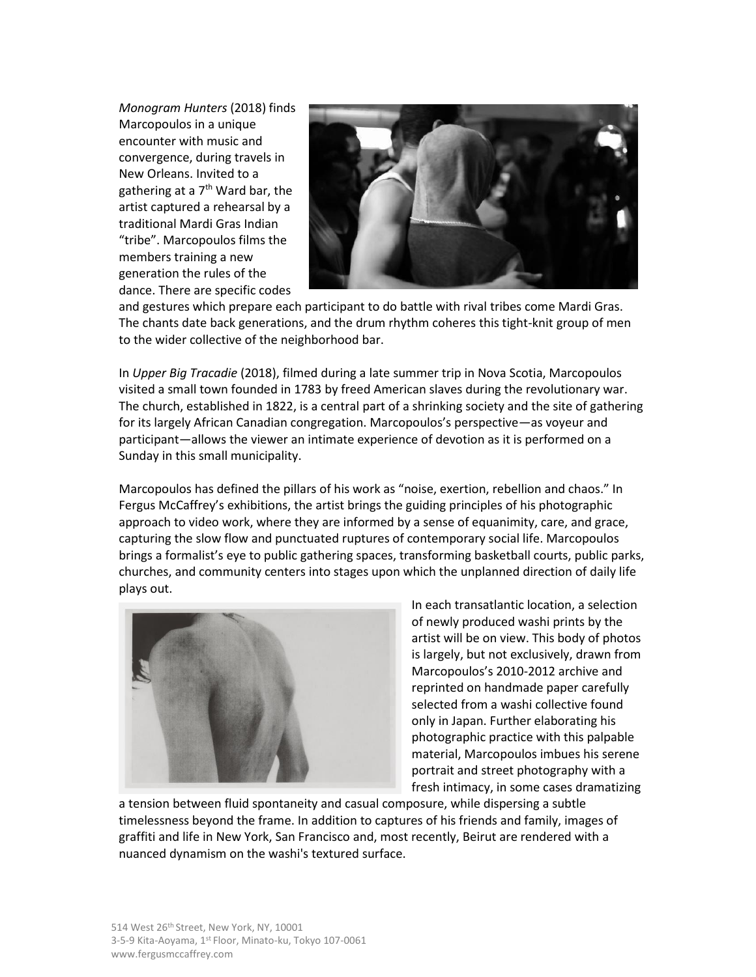*Monogram Hunters* (2018) finds Marcopoulos in a unique encounter with music and convergence, during travels in New Orleans. Invited to a gathering at a  $7<sup>th</sup>$  Ward bar, the artist captured a rehearsal by a traditional Mardi Gras Indian "tribe". Marcopoulos films the members training a new generation the rules of the dance. There are specific codes



and gestures which prepare each participant to do battle with rival tribes come Mardi Gras. The chants date back generations, and the drum rhythm coheres this tight-knit group of men to the wider collective of the neighborhood bar.

In *Upper Big Tracadie* (2018), filmed during a late summer trip in Nova Scotia, Marcopoulos visited a small town founded in 1783 by freed American slaves during the revolutionary war. The church, established in 1822, is a central part of a shrinking society and the site of gathering for its largely African Canadian congregation. Marcopoulos's perspective—as voyeur and participant—allows the viewer an intimate experience of devotion as it is performed on a Sunday in this small municipality.

Marcopoulos has defined the pillars of his work as "noise, exertion, rebellion and chaos." In Fergus McCaffrey's exhibitions, the artist brings the guiding principles of his photographic approach to video work, where they are informed by a sense of equanimity, care, and grace, capturing the slow flow and punctuated ruptures of contemporary social life. Marcopoulos brings a formalist's eye to public gathering spaces, transforming basketball courts, public parks, churches, and community centers into stages upon which the unplanned direction of daily life plays out.



In each transatlantic location, a selection of newly produced washi prints by the artist will be on view. This body of photos is largely, but not exclusively, drawn from Marcopoulos's 2010-2012 archive and reprinted on handmade paper carefully selected from a washi collective found only in Japan. Further elaborating his photographic practice with this palpable material, Marcopoulos imbues his serene portrait and street photography with a fresh intimacy, in some cases dramatizing

a tension between fluid spontaneity and casual composure, while dispersing a subtle timelessness beyond the frame. In addition to captures of his friends and family, images of graffiti and life in New York, San Francisco and, most recently, Beirut are rendered with a nuanced dynamism on the washi's textured surface.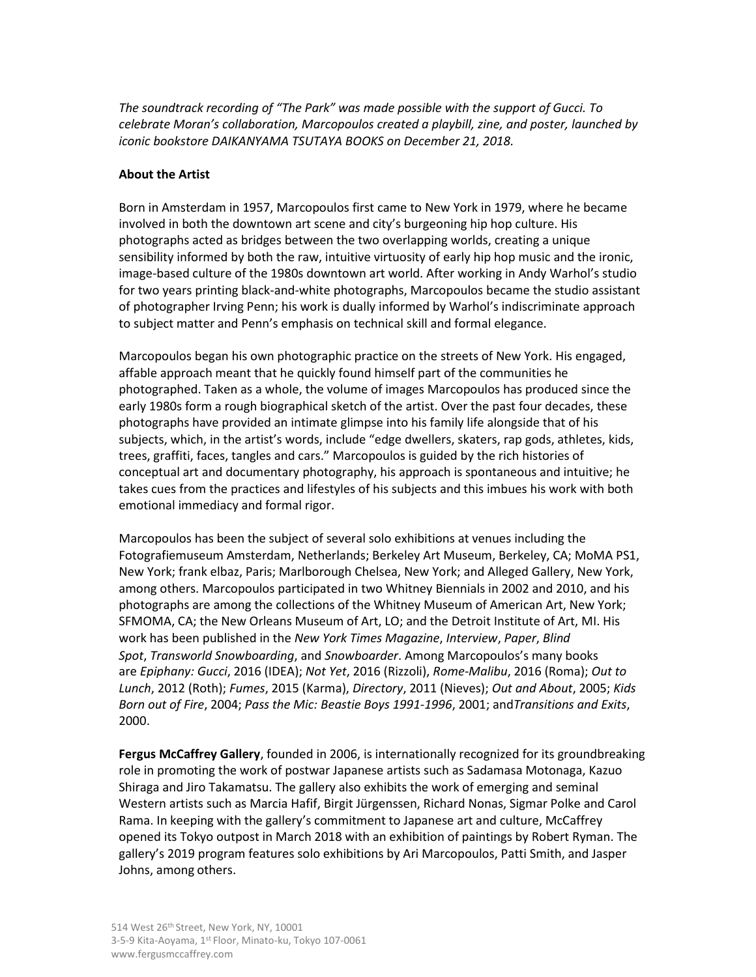*The soundtrack recording of "The Park" was made possible with the support of Gucci. To celebrate Moran's collaboration, Marcopoulos created a playbill, zine, and poster, launched by iconic bookstore DAIKANYAMA TSUTAYA BOOKS on December 21, 2018.*

## **About the Artist**

Born in Amsterdam in 1957, Marcopoulos first came to New York in 1979, where he became involved in both the downtown art scene and city's burgeoning hip hop culture. His photographs acted as bridges between the two overlapping worlds, creating a unique sensibility informed by both the raw, intuitive virtuosity of early hip hop music and the ironic, image-based culture of the 1980s downtown art world. After working in Andy Warhol's studio for two years printing black-and-white photographs, Marcopoulos became the studio assistant of photographer Irving Penn; his work is dually informed by Warhol's indiscriminate approach to subject matter and Penn's emphasis on technical skill and formal elegance.

Marcopoulos began his own photographic practice on the streets of New York. His engaged, affable approach meant that he quickly found himself part of the communities he photographed. Taken as a whole, the volume of images Marcopoulos has produced since the early 1980s form a rough biographical sketch of the artist. Over the past four decades, these photographs have provided an intimate glimpse into his family life alongside that of his subjects, which, in the artist's words, include "edge dwellers, skaters, rap gods, athletes, kids, trees, graffiti, faces, tangles and cars." Marcopoulos is guided by the rich histories of conceptual art and documentary photography, his approach is spontaneous and intuitive; he takes cues from the practices and lifestyles of his subjects and this imbues his work with both emotional immediacy and formal rigor.

Marcopoulos has been the subject of several solo exhibitions at venues including the Fotografiemuseum Amsterdam, Netherlands; Berkeley Art Museum, Berkeley, CA; MoMA PS1, New York; frank elbaz, Paris; Marlborough Chelsea, New York; and Alleged Gallery, New York, among others. Marcopoulos participated in two Whitney Biennials in 2002 and 2010, and his photographs are among the collections of the Whitney Museum of American Art, New York; SFMOMA, CA; the New Orleans Museum of Art, LO; and the Detroit Institute of Art, MI. His work has been published in the *New York Times Magazine*, *Interview*, *Paper*, *Blind Spot*, *Transworld Snowboarding*, and *Snowboarder*. Among Marcopoulos's many books are *Epiphany: Gucci*, 2016 (IDEA); *Not Yet*, 2016 (Rizzoli), *Rome-Malibu*, 2016 (Roma); *Out to Lunch*, 2012 (Roth); *Fumes*, 2015 (Karma), *Directory*, 2011 (Nieves); *Out and About*, 2005; *Kids Born out of Fire*, 2004; *Pass the Mic: Beastie Boys 1991-1996*, 2001; and*Transitions and Exits*, 2000.

**Fergus McCaffrey Gallery**, founded in 2006, is internationally recognized for its groundbreaking role in promoting the work of postwar Japanese artists such as Sadamasa Motonaga, Kazuo Shiraga and Jiro Takamatsu. The gallery also exhibits the work of emerging and seminal Western artists such as Marcia Hafif, Birgit Jürgenssen, Richard Nonas, Sigmar Polke and Carol Rama. In keeping with the gallery's commitment to Japanese art and culture, McCaffrey opened its Tokyo outpost in March 2018 with an exhibition of paintings by Robert Ryman. The gallery's 2019 program features solo exhibitions by Ari Marcopoulos, Patti Smith, and Jasper Johns, among others.